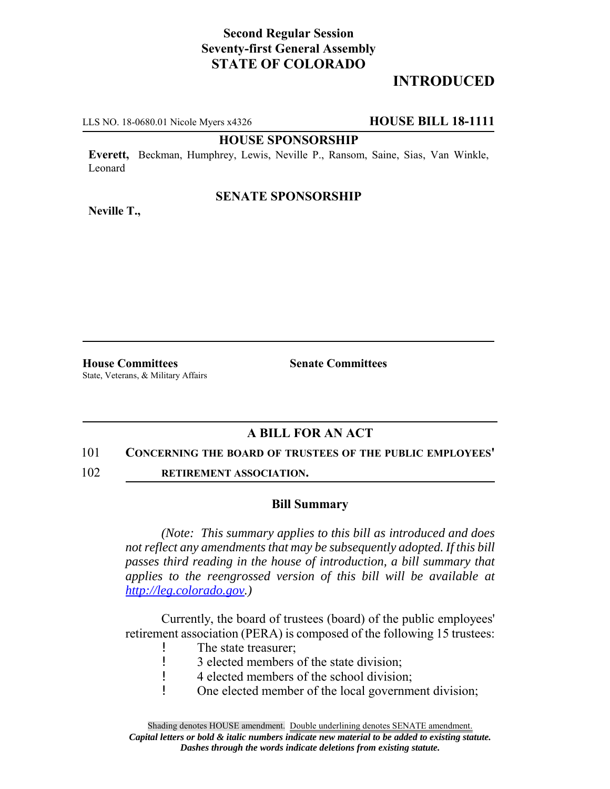# **Second Regular Session Seventy-first General Assembly STATE OF COLORADO**

# **INTRODUCED**

LLS NO. 18-0680.01 Nicole Myers x4326 **HOUSE BILL 18-1111**

#### **HOUSE SPONSORSHIP**

**Everett,** Beckman, Humphrey, Lewis, Neville P., Ransom, Saine, Sias, Van Winkle, Leonard

### **SENATE SPONSORSHIP**

**Neville T.,**

**House Committees Senate Committees** State, Veterans, & Military Affairs

## **A BILL FOR AN ACT**

#### 101 **CONCERNING THE BOARD OF TRUSTEES OF THE PUBLIC EMPLOYEES'**

102 **RETIREMENT ASSOCIATION.**

### **Bill Summary**

*(Note: This summary applies to this bill as introduced and does not reflect any amendments that may be subsequently adopted. If this bill passes third reading in the house of introduction, a bill summary that applies to the reengrossed version of this bill will be available at http://leg.colorado.gov.)*

Currently, the board of trustees (board) of the public employees' retirement association (PERA) is composed of the following 15 trustees:

- ! The state treasurer;
- ! 3 elected members of the state division;
- ! 4 elected members of the school division;
- ! One elected member of the local government division;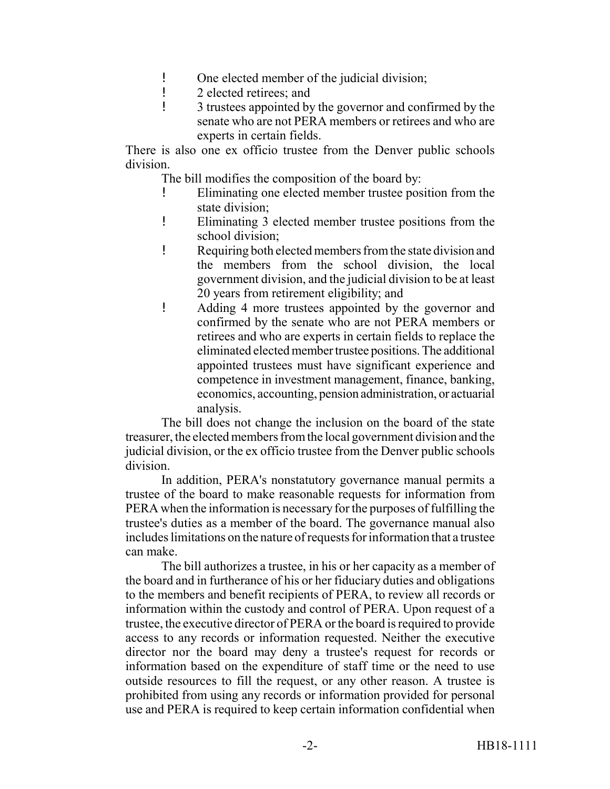- ! One elected member of the judicial division;
- ! 2 elected retirees; and
- ! 3 trustees appointed by the governor and confirmed by the senate who are not PERA members or retirees and who are experts in certain fields.

There is also one ex officio trustee from the Denver public schools division.

The bill modifies the composition of the board by:

- ! Eliminating one elected member trustee position from the state division;
- ! Eliminating 3 elected member trustee positions from the school division;
- ! Requiring both elected members from the state division and the members from the school division, the local government division, and the judicial division to be at least 20 years from retirement eligibility; and
- ! Adding 4 more trustees appointed by the governor and confirmed by the senate who are not PERA members or retirees and who are experts in certain fields to replace the eliminated elected member trustee positions. The additional appointed trustees must have significant experience and competence in investment management, finance, banking, economics, accounting, pension administration, or actuarial analysis.

The bill does not change the inclusion on the board of the state treasurer, the elected members from the local government division and the judicial division, or the ex officio trustee from the Denver public schools division.

In addition, PERA's nonstatutory governance manual permits a trustee of the board to make reasonable requests for information from PERA when the information is necessary for the purposes of fulfilling the trustee's duties as a member of the board. The governance manual also includes limitations on the nature of requests for information that a trustee can make.

The bill authorizes a trustee, in his or her capacity as a member of the board and in furtherance of his or her fiduciary duties and obligations to the members and benefit recipients of PERA, to review all records or information within the custody and control of PERA. Upon request of a trustee, the executive director of PERA or the board is required to provide access to any records or information requested. Neither the executive director nor the board may deny a trustee's request for records or information based on the expenditure of staff time or the need to use outside resources to fill the request, or any other reason. A trustee is prohibited from using any records or information provided for personal use and PERA is required to keep certain information confidential when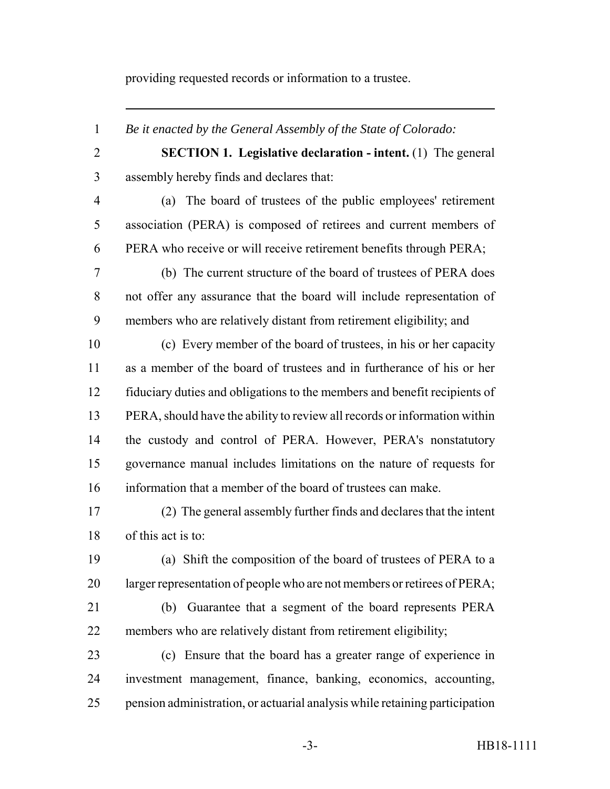providing requested records or information to a trustee.

*Be it enacted by the General Assembly of the State of Colorado:*

- **SECTION 1. Legislative declaration intent.** (1) The general assembly hereby finds and declares that:
- (a) The board of trustees of the public employees' retirement association (PERA) is composed of retirees and current members of PERA who receive or will receive retirement benefits through PERA;
- (b) The current structure of the board of trustees of PERA does not offer any assurance that the board will include representation of members who are relatively distant from retirement eligibility; and
- (c) Every member of the board of trustees, in his or her capacity as a member of the board of trustees and in furtherance of his or her fiduciary duties and obligations to the members and benefit recipients of PERA, should have the ability to review all records or information within the custody and control of PERA. However, PERA's nonstatutory governance manual includes limitations on the nature of requests for information that a member of the board of trustees can make.
- (2) The general assembly further finds and declares that the intent of this act is to:
- (a) Shift the composition of the board of trustees of PERA to a 20 larger representation of people who are not members or retirees of PERA;
- (b) Guarantee that a segment of the board represents PERA members who are relatively distant from retirement eligibility;
- (c) Ensure that the board has a greater range of experience in investment management, finance, banking, economics, accounting, pension administration, or actuarial analysis while retaining participation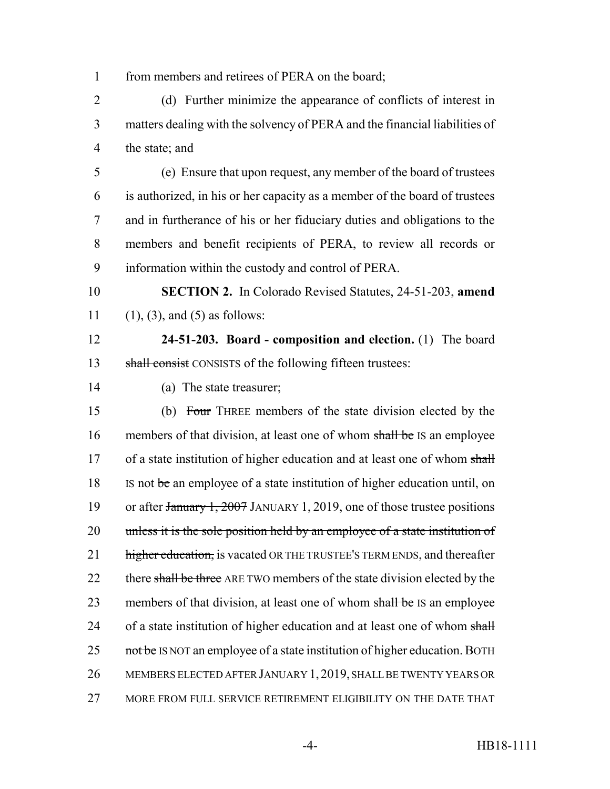1 from members and retirees of PERA on the board;

2 (d) Further minimize the appearance of conflicts of interest in 3 matters dealing with the solvency of PERA and the financial liabilities of 4 the state; and

 (e) Ensure that upon request, any member of the board of trustees is authorized, in his or her capacity as a member of the board of trustees and in furtherance of his or her fiduciary duties and obligations to the members and benefit recipients of PERA, to review all records or information within the custody and control of PERA.

10 **SECTION 2.** In Colorado Revised Statutes, 24-51-203, **amend** 11 (1), (3), and (5) as follows:

12 **24-51-203. Board - composition and election.** (1) The board 13 shall consist CONSISTS of the following fifteen trustees:

14 (a) The state treasurer;

15 (b) Four THREE members of the state division elected by the 16 members of that division, at least one of whom shall be IS an employee 17 of a state institution of higher education and at least one of whom shall 18 IS not be an employee of a state institution of higher education until, on 19 or after January 1, 2007 JANUARY 1, 2019, one of those trustee positions 20 unless it is the sole position held by an employee of a state institution of 21 higher education, is vacated OR THE TRUSTEE'S TERM ENDS, and thereafter 22 there shall be three ARE TWO members of the state division elected by the 23 members of that division, at least one of whom shall be IS an employee 24 of a state institution of higher education and at least one of whom shall 25 not be IS NOT an employee of a state institution of higher education. BOTH 26 MEMBERS ELECTED AFTER JANUARY 1, 2019, SHALL BE TWENTY YEARS OR 27 MORE FROM FULL SERVICE RETIREMENT ELIGIBILITY ON THE DATE THAT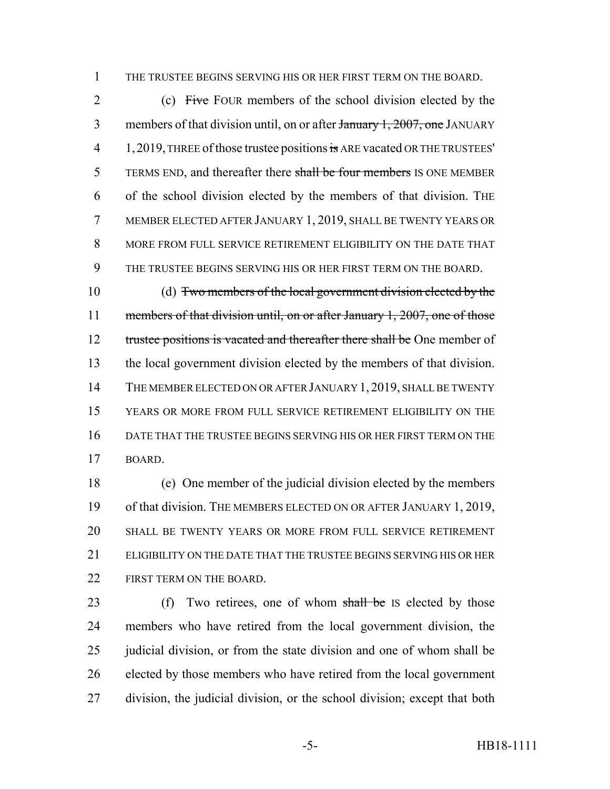1 THE TRUSTEE BEGINS SERVING HIS OR HER FIRST TERM ON THE BOARD.

2 (c) Five FOUR members of the school division elected by the 3 members of that division until, on or after January 1, 2007, one JANUARY 4 1, 2019, THREE of those trustee positions is ARE vacated OR THE TRUSTEES' 5 TERMS END, and thereafter there shall be four members IS ONE MEMBER 6 of the school division elected by the members of that division. THE 7 MEMBER ELECTED AFTER JANUARY 1, 2019, SHALL BE TWENTY YEARS OR 8 MORE FROM FULL SERVICE RETIREMENT ELIGIBILITY ON THE DATE THAT 9 THE TRUSTEE BEGINS SERVING HIS OR HER FIRST TERM ON THE BOARD.

10 (d) Two members of the local government division elected by the 11 members of that division until, on or after January 1, 2007, one of those 12 trustee positions is vacated and thereafter there shall be One member of 13 the local government division elected by the members of that division. 14 THE MEMBER ELECTED ON OR AFTER JANUARY 1, 2019, SHALL BE TWENTY 15 YEARS OR MORE FROM FULL SERVICE RETIREMENT ELIGIBILITY ON THE 16 DATE THAT THE TRUSTEE BEGINS SERVING HIS OR HER FIRST TERM ON THE 17 BOARD.

18 (e) One member of the judicial division elected by the members 19 of that division. THE MEMBERS ELECTED ON OR AFTER JANUARY 1, 2019, 20 SHALL BE TWENTY YEARS OR MORE FROM FULL SERVICE RETIREMENT 21 ELIGIBILITY ON THE DATE THAT THE TRUSTEE BEGINS SERVING HIS OR HER 22 FIRST TERM ON THE BOARD.

23 (f) Two retirees, one of whom shall be IS elected by those 24 members who have retired from the local government division, the 25 judicial division, or from the state division and one of whom shall be 26 elected by those members who have retired from the local government 27 division, the judicial division, or the school division; except that both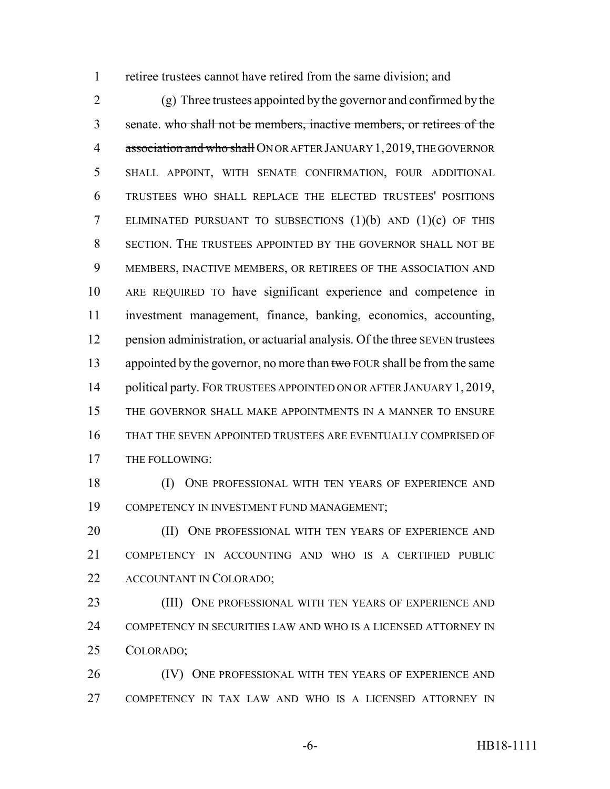retiree trustees cannot have retired from the same division; and

 (g) Three trustees appointed by the governor and confirmed by the senate. who shall not be members, inactive members, or retirees of the 4 association and who shall ON OR AFTER JANUARY 1, 2019, THE GOVERNOR SHALL APPOINT, WITH SENATE CONFIRMATION, FOUR ADDITIONAL TRUSTEES WHO SHALL REPLACE THE ELECTED TRUSTEES' POSITIONS ELIMINATED PURSUANT TO SUBSECTIONS (1)(b) AND (1)(c) OF THIS SECTION. THE TRUSTEES APPOINTED BY THE GOVERNOR SHALL NOT BE MEMBERS, INACTIVE MEMBERS, OR RETIREES OF THE ASSOCIATION AND ARE REQUIRED TO have significant experience and competence in investment management, finance, banking, economics, accounting, 12 pension administration, or actuarial analysis. Of the three SEVEN trustees 13 appointed by the governor, no more than two FOUR shall be from the same 14 political party. FOR TRUSTEES APPOINTED ON OR AFTER JANUARY 1, 2019, THE GOVERNOR SHALL MAKE APPOINTMENTS IN A MANNER TO ENSURE THAT THE SEVEN APPOINTED TRUSTEES ARE EVENTUALLY COMPRISED OF THE FOLLOWING:

18 (I) ONE PROFESSIONAL WITH TEN YEARS OF EXPERIENCE AND COMPETENCY IN INVESTMENT FUND MANAGEMENT;

20 (II) ONE PROFESSIONAL WITH TEN YEARS OF EXPERIENCE AND COMPETENCY IN ACCOUNTING AND WHO IS A CERTIFIED PUBLIC ACCOUNTANT IN COLORADO;

23 (III) ONE PROFESSIONAL WITH TEN YEARS OF EXPERIENCE AND COMPETENCY IN SECURITIES LAW AND WHO IS A LICENSED ATTORNEY IN COLORADO;

26 (IV) ONE PROFESSIONAL WITH TEN YEARS OF EXPERIENCE AND COMPETENCY IN TAX LAW AND WHO IS A LICENSED ATTORNEY IN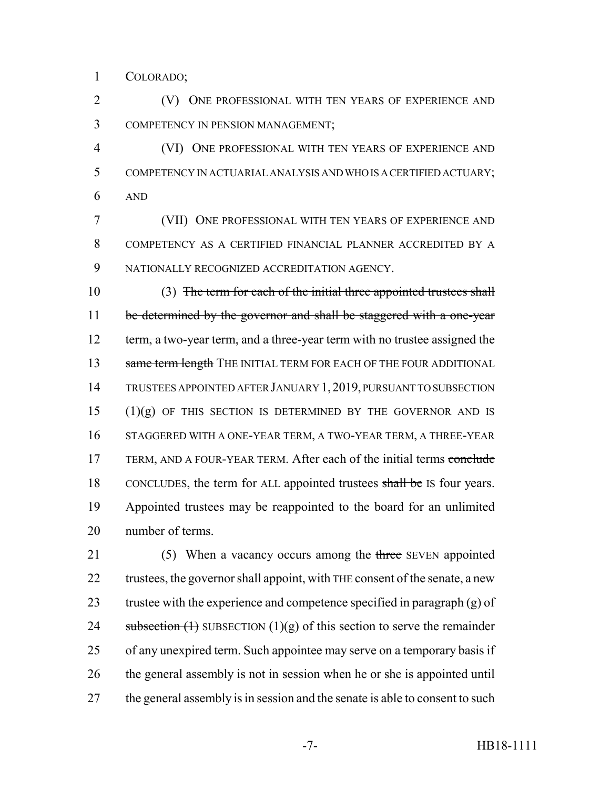COLORADO;

 (V) ONE PROFESSIONAL WITH TEN YEARS OF EXPERIENCE AND COMPETENCY IN PENSION MANAGEMENT;

 (VI) ONE PROFESSIONAL WITH TEN YEARS OF EXPERIENCE AND COMPETENCY IN ACTUARIAL ANALYSIS AND WHO IS A CERTIFIED ACTUARY; AND

 (VII) ONE PROFESSIONAL WITH TEN YEARS OF EXPERIENCE AND COMPETENCY AS A CERTIFIED FINANCIAL PLANNER ACCREDITED BY A NATIONALLY RECOGNIZED ACCREDITATION AGENCY.

 (3) The term for each of the initial three appointed trustees shall 11 be determined by the governor and shall be staggered with a one-year 12 term, a two-year term, and a three-year term with no trustee assigned the 13 same term length THE INITIAL TERM FOR EACH OF THE FOUR ADDITIONAL TRUSTEES APPOINTED AFTER JANUARY 1,2019, PURSUANT TO SUBSECTION (1)(g) OF THIS SECTION IS DETERMINED BY THE GOVERNOR AND IS STAGGERED WITH A ONE-YEAR TERM, A TWO-YEAR TERM, A THREE-YEAR 17 TERM, AND A FOUR-YEAR TERM. After each of the initial terms conclude 18 CONCLUDES, the term for ALL appointed trustees shall be IS four years. Appointed trustees may be reappointed to the board for an unlimited number of terms.

21 (5) When a vacancy occurs among the three SEVEN appointed 22 trustees, the governor shall appoint, with THE consent of the senate, a new 23 trustee with the experience and competence specified in paragraph  $(g)$  of 24 subsection  $(1)$  SUBSECTION  $(1)(g)$  of this section to serve the remainder of any unexpired term. Such appointee may serve on a temporary basis if the general assembly is not in session when he or she is appointed until 27 the general assembly is in session and the senate is able to consent to such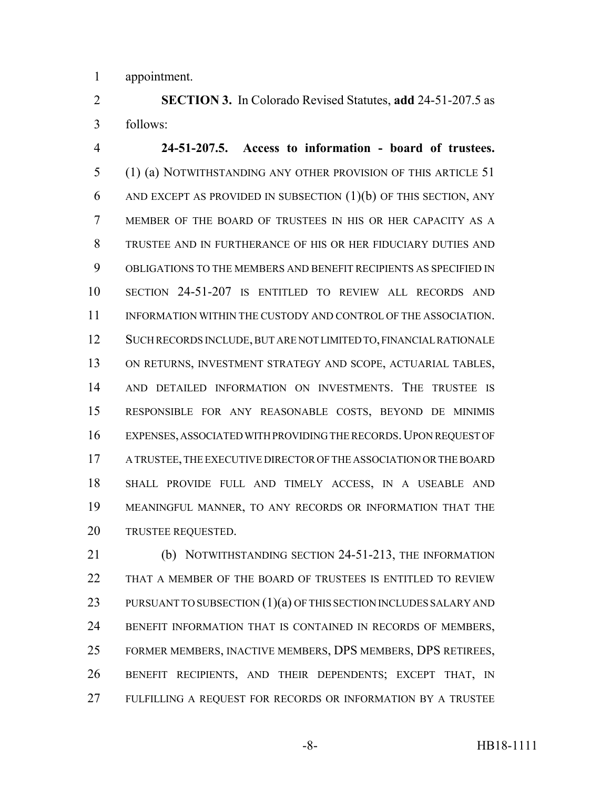appointment.

 **SECTION 3.** In Colorado Revised Statutes, **add** 24-51-207.5 as follows:

 **24-51-207.5. Access to information - board of trustees.** (1) (a) NOTWITHSTANDING ANY OTHER PROVISION OF THIS ARTICLE 51 6 AND EXCEPT AS PROVIDED IN SUBSECTION  $(1)(b)$  OF THIS SECTION, ANY MEMBER OF THE BOARD OF TRUSTEES IN HIS OR HER CAPACITY AS A TRUSTEE AND IN FURTHERANCE OF HIS OR HER FIDUCIARY DUTIES AND OBLIGATIONS TO THE MEMBERS AND BENEFIT RECIPIENTS AS SPECIFIED IN SECTION 24-51-207 IS ENTITLED TO REVIEW ALL RECORDS AND INFORMATION WITHIN THE CUSTODY AND CONTROL OF THE ASSOCIATION. SUCH RECORDS INCLUDE, BUT ARE NOT LIMITED TO, FINANCIAL RATIONALE ON RETURNS, INVESTMENT STRATEGY AND SCOPE, ACTUARIAL TABLES, AND DETAILED INFORMATION ON INVESTMENTS. THE TRUSTEE IS RESPONSIBLE FOR ANY REASONABLE COSTS, BEYOND DE MINIMIS 16 EXPENSES, ASSOCIATED WITH PROVIDING THE RECORDS. UPON REQUEST OF A TRUSTEE, THE EXECUTIVE DIRECTOR OF THE ASSOCIATION OR THE BOARD SHALL PROVIDE FULL AND TIMELY ACCESS, IN A USEABLE AND MEANINGFUL MANNER, TO ANY RECORDS OR INFORMATION THAT THE TRUSTEE REQUESTED.

 (b) NOTWITHSTANDING SECTION 24-51-213, THE INFORMATION THAT A MEMBER OF THE BOARD OF TRUSTEES IS ENTITLED TO REVIEW 23 PURSUANT TO SUBSECTION (1)(a) OF THIS SECTION INCLUDES SALARY AND BENEFIT INFORMATION THAT IS CONTAINED IN RECORDS OF MEMBERS, FORMER MEMBERS, INACTIVE MEMBERS, DPS MEMBERS, DPS RETIREES, BENEFIT RECIPIENTS, AND THEIR DEPENDENTS; EXCEPT THAT, IN FULFILLING A REQUEST FOR RECORDS OR INFORMATION BY A TRUSTEE